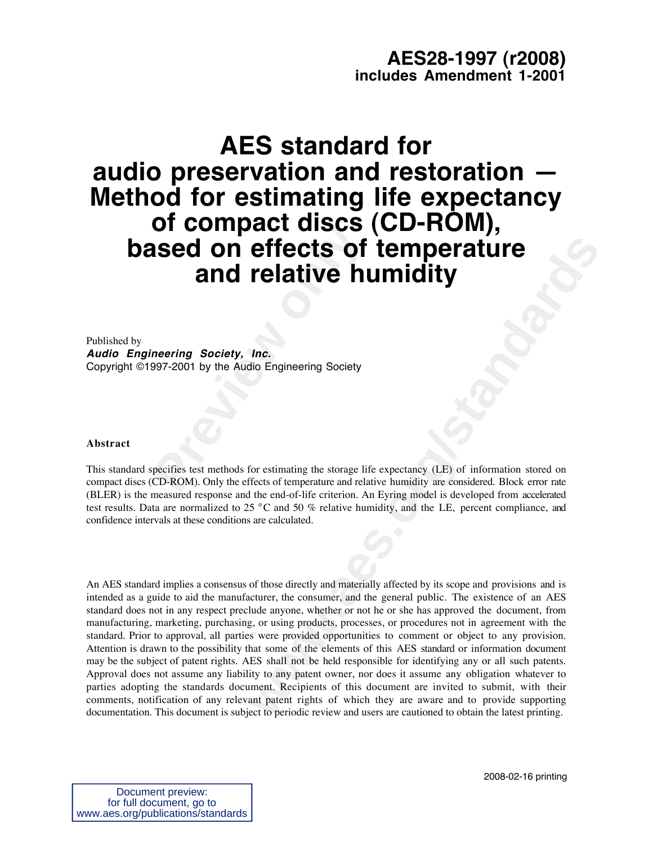# **AES28-1997 (r2008) includes Amendment 1-2001**

# **Previous Sed on effects of<br>
and relative here-<br>
neering** *Society, Inc.***<br>
997-2001 by the Audio Engineering Society<br>
pecifies test methods for estimating the storage lift<br>
CD-ROM). Only the effects of temperature and rela AES standard for audio preservation and restoration — Method for estimating life expectancy of compact discs (CD-ROM), based on effects of temperature and relative humidity**

Published by **Audio Engineering Society, Inc.** Copyright ©1997-2001 by the Audio Engineering Society

## **Abstract**

This standard specifies test methods for estimating the storage life expectancy (LE) of information stored on compact discs (CD-ROM). Only the effects of temperature and relative humidity are considered. Block error rate (BLER) is the measured response and the end-of-life criterion. An Eyring model is developed from accelerated test results. Data are normalized to 25 °C and 50 % relative humidity, and the LE, percent compliance, and confidence intervals at these conditions are calculated.

**Effects of temperature**<br> **relative humidity**<br> **the.**<br> **lnc.**<br> **lnc.**<br> **lnc.**<br> **lnc.**<br> **lnc.**<br> **lnc.**<br> **lnc.**<br> **lnc.**<br> **lnc.**<br> **lnc.**<br> **lnc.**<br> **lnc.**<br> **lnc.**<br> **lnc.**<br> **lnc.**<br> **lnc.**<br> **lnc.**<br> **l**<br> **l**<br> **l**<br> **l**<br> **l**<br> **l**<br> An AES standard implies a consensus of those directly and materially affected by its scope and provisions and is intended as a guide to aid the manufacturer, the consumer, and the general public. The existence of an AES standard does not in any respect preclude anyone, whether or not he or she has approved the document, from manufacturing, marketing, purchasing, or using products, processes, or procedures not in agreement with the standard. Prior to approval, all parties were provided opportunities to comment or object to any provision. Attention is drawn to the possibility that some of the elements of this AES standard or information document may be the subject of patent rights. AES shall not be held responsible for identifying any or all such patents. Approval does not assume any liability to any patent owner, nor does it assume any obligation whatever to parties adopting the standards document. Recipients of this document are invited to submit, with their comments, notification of any relevant patent rights of which they are aware and to provide supporting documentation. This document is subject to periodic review and users are cautioned to obtain the latest printing.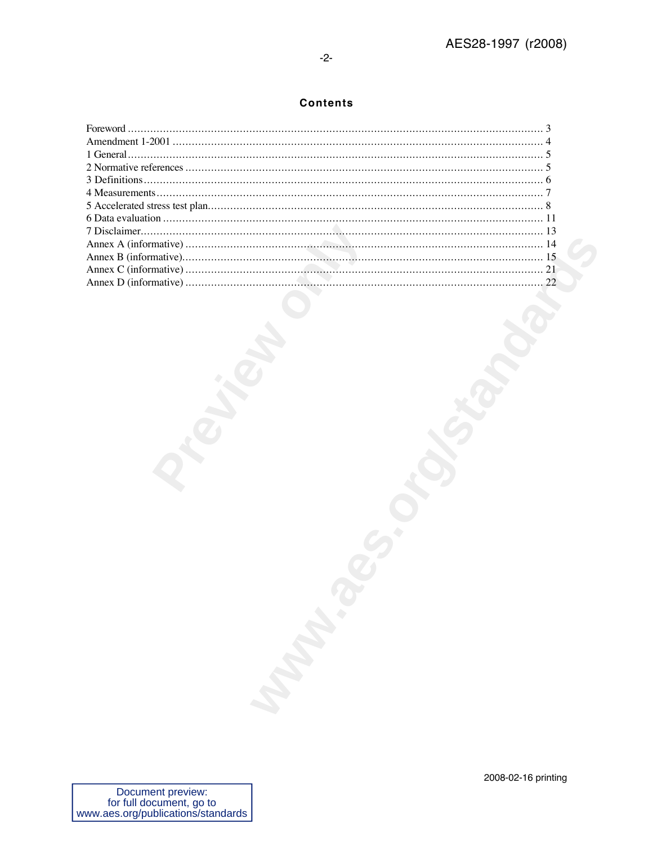# **Contents**

| Maria R |  |
|---------|--|
|         |  |
|         |  |
|         |  |
|         |  |
|         |  |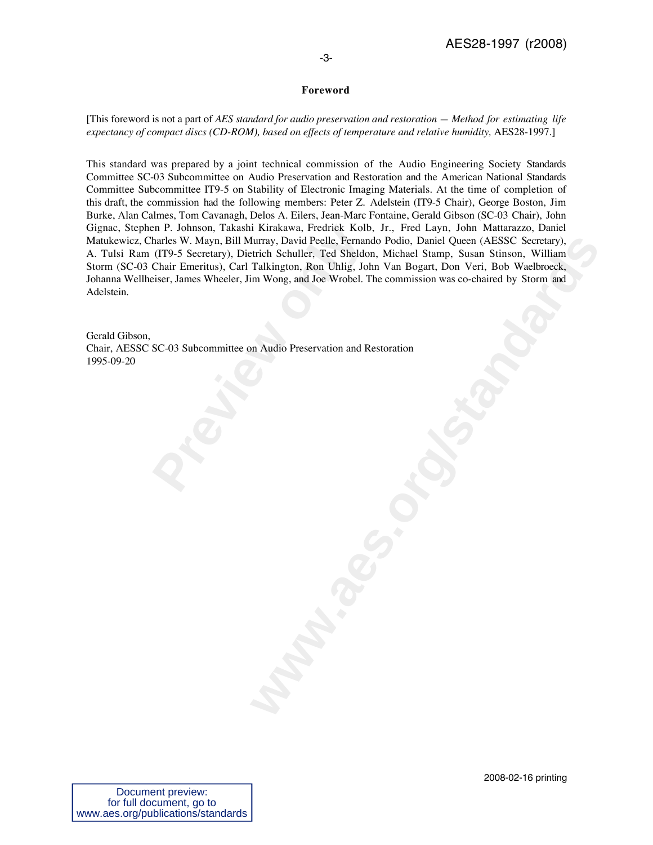# **Foreword**

[This foreword is not a part of *AES standard for audio preservation and restoration — Method for estimating life expectancy of compact discs (CD-ROM), based on effects of temperature and relative humidity,* AES28-1997.]

Free P. Johnson, Takashi Kirakawa, Fredrick Kolb<br>harles W. Mayn, Bill Murray, David Peelle, Fernan<br>(IT9-5 Secretary), Dietrich Schuller, Ted Sheldo<br>Chair Emeritus), Carl Talkington, Ron Uhlig, Jol<br>eiser, James Wheeler, Jim htmy, David Peelle, Fernando Podio, Daniel Queen (AFSSC Secretary).<br>British Schuller, Ted Sheldon. Michael Stemp. Susan Stiinson, William<br>Talkington, Ron Uhlig, John Van Bogart, Don Veri, Bob Waelbroeck,<br>Im Wong, and Joe W This standard was prepared by a joint technical commission of the Audio Engineering Society Standards Committee SC-03 Subcommittee on Audio Preservation and Restoration and the American National Standards Committee Subcommittee IT9-5 on Stability of Electronic Imaging Materials. At the time of completion of this draft, the commission had the following members: Peter Z. Adelstein (IT9-5 Chair), George Boston, Jim Burke, Alan Calmes, Tom Cavanagh, Delos A. Eilers, Jean-Marc Fontaine, Gerald Gibson (SC-03 Chair), John Gignac, Stephen P. Johnson, Takashi Kirakawa, Fredrick Kolb, Jr., Fred Layn, John Mattarazzo, Daniel Matukewicz, Charles W. Mayn, Bill Murray, David Peelle, Fernando Podio, Daniel Queen (AESSC Secretary), A. Tulsi Ram (IT9-5 Secretary), Dietrich Schuller, Ted Sheldon, Michael Stamp, Susan Stinson, William Storm (SC-03 Chair Emeritus), Carl Talkington, Ron Uhlig, John Van Bogart, Don Veri, Bob Waelbroeck, Johanna Wellheiser, James Wheeler, Jim Wong, and Joe Wrobel. The commission was co-chaired by Storm and Adelstein.

Gerald Gibson, Chair, AESSC SC-03 Subcommittee on Audio Preservation and Restoration 1995-09-20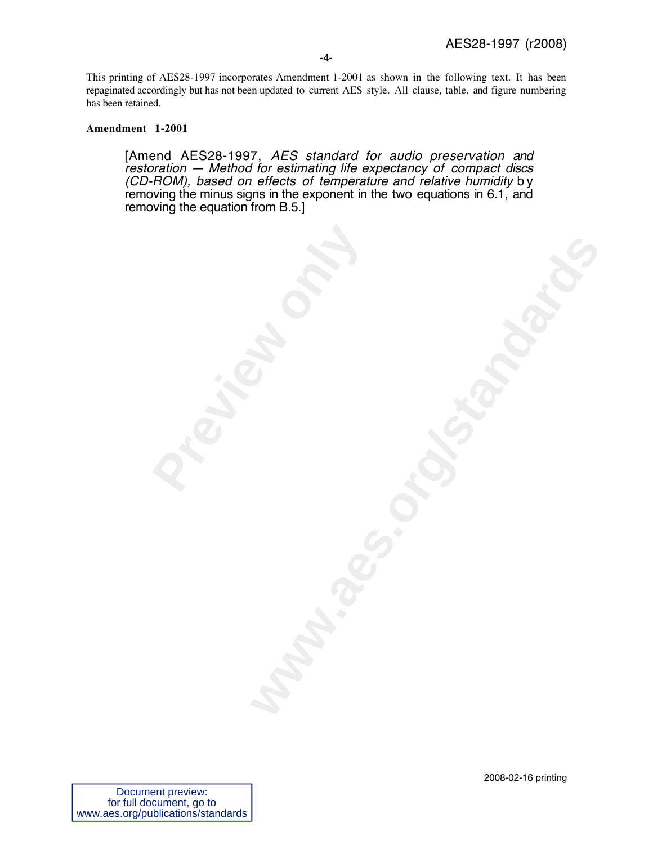This printing of AES28-1997 incorporates Amendment 1-2001 as shown in the following text. It has been repaginated accordingly but has not been updated to current AES style. All clause, table, and figure numbering has been retained.

# **Amendment 1-2001**

[Amend AES28-1997, AES standard for audio preservation and restoration — Method for estimating life expectancy of compact discs (CD-ROM), based on effects of temperature and relative humidity by removing the minus signs in the exponent in the two equations in 6.1, and removing the equation from B.5.]